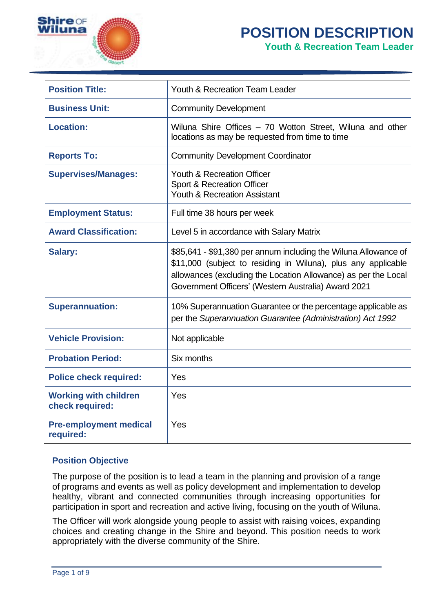

# **POSITION DESCRIPTION Youth & Recreation Team Leader**

| <b>Position Title:</b>                          | Youth & Recreation Team Leader                                                                                                                                                                                                                            |
|-------------------------------------------------|-----------------------------------------------------------------------------------------------------------------------------------------------------------------------------------------------------------------------------------------------------------|
| <b>Business Unit:</b>                           | <b>Community Development</b>                                                                                                                                                                                                                              |
| <b>Location:</b>                                | Wiluna Shire Offices - 70 Wotton Street, Wiluna and other<br>locations as may be requested from time to time                                                                                                                                              |
| <b>Reports To:</b>                              | <b>Community Development Coordinator</b>                                                                                                                                                                                                                  |
| <b>Supervises/Manages:</b>                      | Youth & Recreation Officer<br>Sport & Recreation Officer<br>Youth & Recreation Assistant                                                                                                                                                                  |
| <b>Employment Status:</b>                       | Full time 38 hours per week                                                                                                                                                                                                                               |
| <b>Award Classification:</b>                    | Level 5 in accordance with Salary Matrix                                                                                                                                                                                                                  |
| <b>Salary:</b>                                  | \$85,641 - \$91,380 per annum including the Wiluna Allowance of<br>\$11,000 (subject to residing in Wiluna), plus any applicable<br>allowances (excluding the Location Allowance) as per the Local<br>Government Officers' (Western Australia) Award 2021 |
| <b>Superannuation:</b>                          | 10% Superannuation Guarantee or the percentage applicable as<br>per the Superannuation Guarantee (Administration) Act 1992                                                                                                                                |
| <b>Vehicle Provision:</b>                       | Not applicable                                                                                                                                                                                                                                            |
| <b>Probation Period:</b>                        | Six months                                                                                                                                                                                                                                                |
| <b>Police check required:</b>                   | Yes                                                                                                                                                                                                                                                       |
| <b>Working with children</b><br>check required: | Yes                                                                                                                                                                                                                                                       |
| <b>Pre-employment medical</b><br>required:      | Yes                                                                                                                                                                                                                                                       |

# **Position Objective**

The purpose of the position is to lead a team in the planning and provision of a range of programs and events as well as policy development and implementation to develop healthy, vibrant and connected communities through increasing opportunities for participation in sport and recreation and active living, focusing on the youth of Wiluna.

The Officer will work alongside young people to assist with raising voices, expanding choices and creating change in the Shire and beyond. This position needs to work appropriately with the diverse community of the Shire.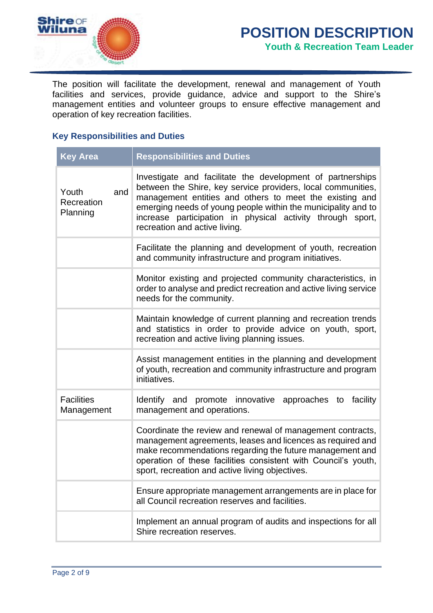

The position will facilitate the development, renewal and management of Youth facilities and services, provide guidance, advice and support to the Shire's management entities and volunteer groups to ensure effective management and operation of key recreation facilities.

# **Key Responsibilities and Duties**

| <b>Key Area</b>                        | <b>Responsibilities and Duties</b>                                                                                                                                                                                                                                                                                                                    |
|----------------------------------------|-------------------------------------------------------------------------------------------------------------------------------------------------------------------------------------------------------------------------------------------------------------------------------------------------------------------------------------------------------|
| and<br>Youth<br>Recreation<br>Planning | Investigate and facilitate the development of partnerships<br>between the Shire, key service providers, local communities,<br>management entities and others to meet the existing and<br>emerging needs of young people within the municipality and to<br>increase participation in physical activity through sport,<br>recreation and active living. |
|                                        | Facilitate the planning and development of youth, recreation<br>and community infrastructure and program initiatives.                                                                                                                                                                                                                                 |
|                                        | Monitor existing and projected community characteristics, in<br>order to analyse and predict recreation and active living service<br>needs for the community.                                                                                                                                                                                         |
|                                        | Maintain knowledge of current planning and recreation trends<br>and statistics in order to provide advice on youth, sport,<br>recreation and active living planning issues.                                                                                                                                                                           |
|                                        | Assist management entities in the planning and development<br>of youth, recreation and community infrastructure and program<br>initiatives.                                                                                                                                                                                                           |
| <b>Facilities</b><br>Management        | Identify and promote innovative<br>approaches to<br>facility<br>management and operations.                                                                                                                                                                                                                                                            |
|                                        | Coordinate the review and renewal of management contracts,<br>management agreements, leases and licences as required and<br>make recommendations regarding the future management and<br>operation of these facilities consistent with Council's youth,<br>sport, recreation and active living objectives.                                             |
|                                        | Ensure appropriate management arrangements are in place for<br>all Council recreation reserves and facilities.                                                                                                                                                                                                                                        |
|                                        | Implement an annual program of audits and inspections for all<br>Shire recreation reserves.                                                                                                                                                                                                                                                           |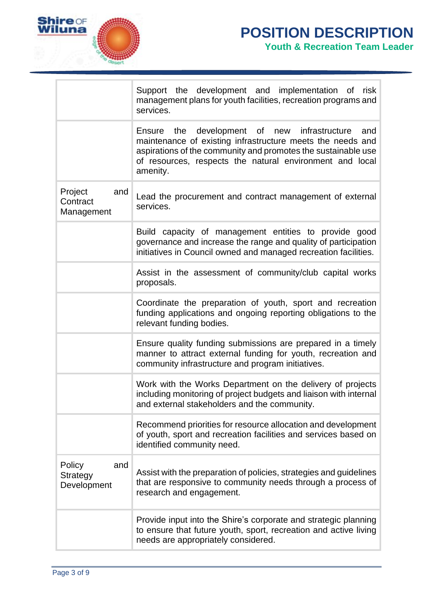

P.

Ť.

|                                                 | Support the development and implementation of risk<br>management plans for youth facilities, recreation programs and<br>services.                                                                                                                             |
|-------------------------------------------------|---------------------------------------------------------------------------------------------------------------------------------------------------------------------------------------------------------------------------------------------------------------|
|                                                 | Ensure the development of new<br>infrastructure<br>and<br>maintenance of existing infrastructure meets the needs and<br>aspirations of the community and promotes the sustainable use<br>of resources, respects the natural environment and local<br>amenity. |
| Project<br>and<br>Contract<br>Management        | Lead the procurement and contract management of external<br>services.                                                                                                                                                                                         |
|                                                 | Build capacity of management entities to provide good<br>governance and increase the range and quality of participation<br>initiatives in Council owned and managed recreation facilities.                                                                    |
|                                                 | Assist in the assessment of community/club capital works<br>proposals.                                                                                                                                                                                        |
|                                                 | Coordinate the preparation of youth, sport and recreation<br>funding applications and ongoing reporting obligations to the<br>relevant funding bodies.                                                                                                        |
|                                                 | Ensure quality funding submissions are prepared in a timely<br>manner to attract external funding for youth, recreation and<br>community infrastructure and program initiatives.                                                                              |
|                                                 | Work with the Works Department on the delivery of projects<br>including monitoring of project budgets and liaison with internal<br>and external stakeholders and the community.                                                                               |
|                                                 | Recommend priorities for resource allocation and development<br>of youth, sport and recreation facilities and services based on<br>identified community need.                                                                                                 |
| Policy<br>and<br><b>Strategy</b><br>Development | Assist with the preparation of policies, strategies and guidelines<br>that are responsive to community needs through a process of<br>research and engagement.                                                                                                 |
|                                                 | Provide input into the Shire's corporate and strategic planning<br>to ensure that future youth, sport, recreation and active living<br>needs are appropriately considered.                                                                                    |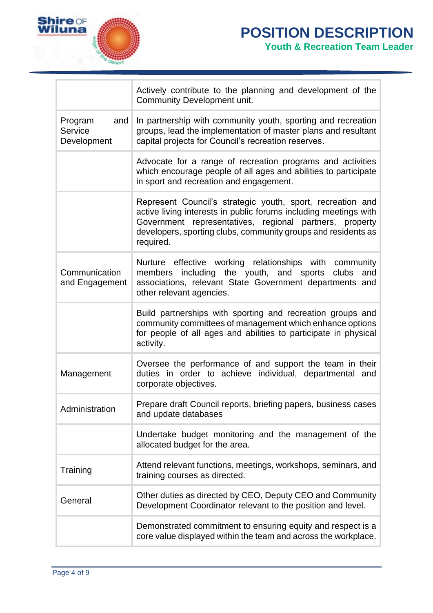

 $\overline{\Gamma}$ 

ä,

|                                          | Actively contribute to the planning and development of the<br>Community Development unit.                                                                                                                                                                               |
|------------------------------------------|-------------------------------------------------------------------------------------------------------------------------------------------------------------------------------------------------------------------------------------------------------------------------|
| Program<br>and<br>Service<br>Development | In partnership with community youth, sporting and recreation<br>groups, lead the implementation of master plans and resultant<br>capital projects for Council's recreation reserves.                                                                                    |
|                                          | Advocate for a range of recreation programs and activities<br>which encourage people of all ages and abilities to participate<br>in sport and recreation and engagement.                                                                                                |
|                                          | Represent Council's strategic youth, sport, recreation and<br>active living interests in public forums including meetings with<br>Government representatives, regional partners, property<br>developers, sporting clubs, community groups and residents as<br>required. |
| Communication<br>and Engagement          | Nurture effective working relationships with community<br>including the youth, and sports<br>clubs<br>and<br>members<br>associations, relevant State Government departments and<br>other relevant agencies.                                                             |
|                                          | Build partnerships with sporting and recreation groups and<br>community committees of management which enhance options<br>for people of all ages and abilities to participate in physical<br>activity.                                                                  |
| Management                               | Oversee the performance of and support the team in their<br>duties in order to achieve individual, departmental and<br>corporate objectives.                                                                                                                            |
| Administration                           | Prepare draft Council reports, briefing papers, business cases<br>and update databases                                                                                                                                                                                  |
|                                          | Undertake budget monitoring and the management of the<br>allocated budget for the area.                                                                                                                                                                                 |
| Training                                 | Attend relevant functions, meetings, workshops, seminars, and<br>training courses as directed.                                                                                                                                                                          |
| General                                  | Other duties as directed by CEO, Deputy CEO and Community<br>Development Coordinator relevant to the position and level.                                                                                                                                                |
|                                          | Demonstrated commitment to ensuring equity and respect is a<br>core value displayed within the team and across the workplace.                                                                                                                                           |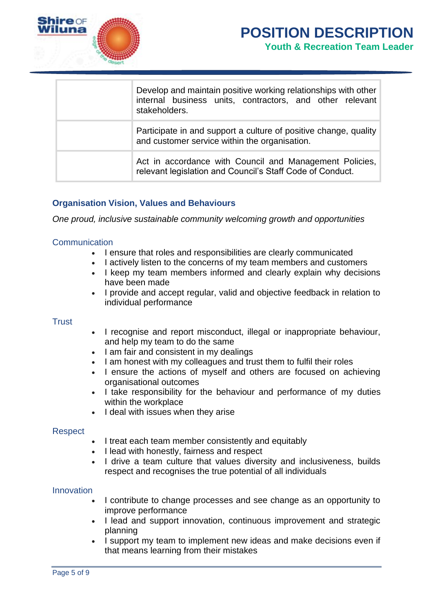

| Develop and maintain positive working relationships with other<br>internal business units, contractors, and other relevant<br>stakeholders. |
|---------------------------------------------------------------------------------------------------------------------------------------------|
| Participate in and support a culture of positive change, quality<br>and customer service within the organisation.                           |
| Act in accordance with Council and Management Policies,<br>relevant legislation and Council's Staff Code of Conduct.                        |

# **Organisation Vision, Values and Behaviours**

*One proud, inclusive sustainable community welcoming growth and opportunities*

## **Communication**

- I ensure that roles and responsibilities are clearly communicated
- I actively listen to the concerns of my team members and customers
- I keep my team members informed and clearly explain why decisions have been made
- I provide and accept regular, valid and objective feedback in relation to individual performance

## **Trust**

- I recognise and report misconduct, illegal or inappropriate behaviour, and help my team to do the same
- I am fair and consistent in my dealings
- I am honest with my colleagues and trust them to fulfil their roles
- I ensure the actions of myself and others are focused on achieving organisational outcomes
- I take responsibility for the behaviour and performance of my duties within the workplace
- I deal with issues when they arise

## **Respect**

- I treat each team member consistently and equitably
- I lead with honestly, fairness and respect
- I drive a team culture that values diversity and inclusiveness, builds respect and recognises the true potential of all individuals

## Innovation

- I contribute to change processes and see change as an opportunity to improve performance
- I lead and support innovation, continuous improvement and strategic planning
- I support my team to implement new ideas and make decisions even if that means learning from their mistakes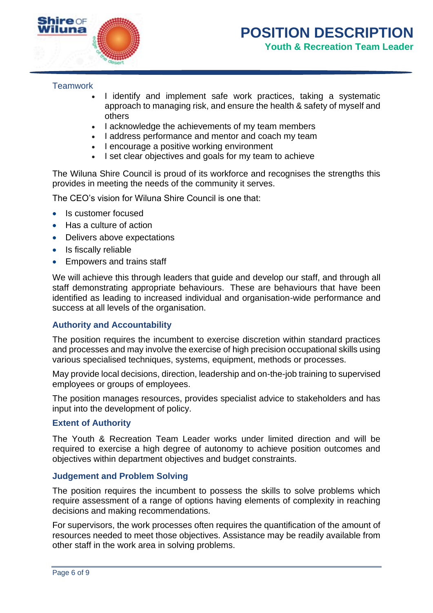

# **Teamwork**

- I identify and implement safe work practices, taking a systematic approach to managing risk, and ensure the health & safety of myself and others
- I acknowledge the achievements of my team members
- I address performance and mentor and coach my team
- I encourage a positive working environment
- I set clear objectives and goals for my team to achieve

The Wiluna Shire Council is proud of its workforce and recognises the strengths this provides in meeting the needs of the community it serves.

The CEO's vision for Wiluna Shire Council is one that:

- Is customer focused
- Has a culture of action
- Delivers above expectations
- Is fiscally reliable
- Empowers and trains staff

We will achieve this through leaders that guide and develop our staff, and through all staff demonstrating appropriate behaviours. These are behaviours that have been identified as leading to increased individual and organisation-wide performance and success at all levels of the organisation.

## **Authority and Accountability**

The position requires the incumbent to exercise discretion within standard practices and processes and may involve the exercise of high precision occupational skills using various specialised techniques, systems, equipment, methods or processes.

May provide local decisions, direction, leadership and on-the-job training to supervised employees or groups of employees.

The position manages resources, provides specialist advice to stakeholders and has input into the development of policy.

## **Extent of Authority**

The Youth & Recreation Team Leader works under limited direction and will be required to exercise a high degree of autonomy to achieve position outcomes and objectives within department objectives and budget constraints.

## **Judgement and Problem Solving**

The position requires the incumbent to possess the skills to solve problems which require assessment of a range of options having elements of complexity in reaching decisions and making recommendations.

For supervisors, the work processes often requires the quantification of the amount of resources needed to meet those objectives. Assistance may be readily available from other staff in the work area in solving problems.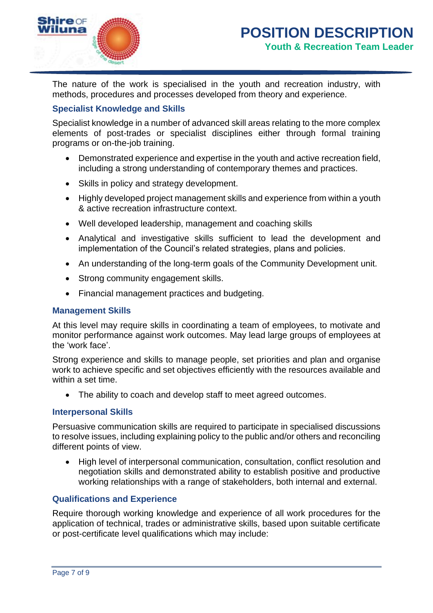

The nature of the work is specialised in the youth and recreation industry, with methods, procedures and processes developed from theory and experience.

# **Specialist Knowledge and Skills**

Specialist knowledge in a number of advanced skill areas relating to the more complex elements of post-trades or specialist disciplines either through formal training programs or on-the-job training.

- Demonstrated experience and expertise in the youth and active recreation field, including a strong understanding of contemporary themes and practices.
- Skills in policy and strategy development.
- Highly developed project management skills and experience from within a youth & active recreation infrastructure context.
- Well developed leadership, management and coaching skills
- Analytical and investigative skills sufficient to lead the development and implementation of the Council's related strategies, plans and policies.
- An understanding of the long-term goals of the Community Development unit.
- Strong community engagement skills.
- Financial management practices and budgeting.

# **Management Skills**

At this level may require skills in coordinating a team of employees, to motivate and monitor performance against work outcomes. May lead large groups of employees at the 'work face'.

Strong experience and skills to manage people, set priorities and plan and organise work to achieve specific and set objectives efficiently with the resources available and within a set time.

• The ability to coach and develop staff to meet agreed outcomes.

# **Interpersonal Skills**

Persuasive communication skills are required to participate in specialised discussions to resolve issues, including explaining policy to the public and/or others and reconciling different points of view.

• High level of interpersonal communication, consultation, conflict resolution and negotiation skills and demonstrated ability to establish positive and productive working relationships with a range of stakeholders, both internal and external.

# **Qualifications and Experience**

Require thorough working knowledge and experience of all work procedures for the application of technical, trades or administrative skills, based upon suitable certificate or post-certificate level qualifications which may include: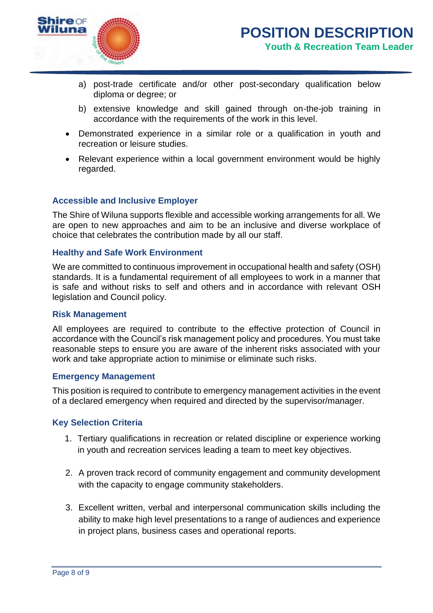

- a) post-trade certificate and/or other post-secondary qualification below diploma or degree; or
- b) extensive knowledge and skill gained through on-the-job training in accordance with the requirements of the work in this level.
- Demonstrated experience in a similar role or a qualification in youth and recreation or leisure studies.
- Relevant experience within a local government environment would be highly regarded.

# **Accessible and Inclusive Employer**

The Shire of Wiluna supports flexible and accessible working arrangements for all. We are open to new approaches and aim to be an inclusive and diverse workplace of choice that celebrates the contribution made by all our staff.

## **Healthy and Safe Work Environment**

We are committed to continuous improvement in occupational health and safety (OSH) standards. It is a fundamental requirement of all employees to work in a manner that is safe and without risks to self and others and in accordance with relevant OSH legislation and Council policy.

## **Risk Management**

All employees are required to contribute to the effective protection of Council in accordance with the Council's risk management policy and procedures. You must take reasonable steps to ensure you are aware of the inherent risks associated with your work and take appropriate action to minimise or eliminate such risks.

## **Emergency Management**

This position is required to contribute to emergency management activities in the event of a declared emergency when required and directed by the supervisor/manager.

## **Key Selection Criteria**

- 1. Tertiary qualifications in recreation or related discipline or experience working in youth and recreation services leading a team to meet key objectives.
- 2. A proven track record of community engagement and community development with the capacity to engage community stakeholders.
- 3. Excellent written, verbal and interpersonal communication skills including the ability to make high level presentations to a range of audiences and experience in project plans, business cases and operational reports.